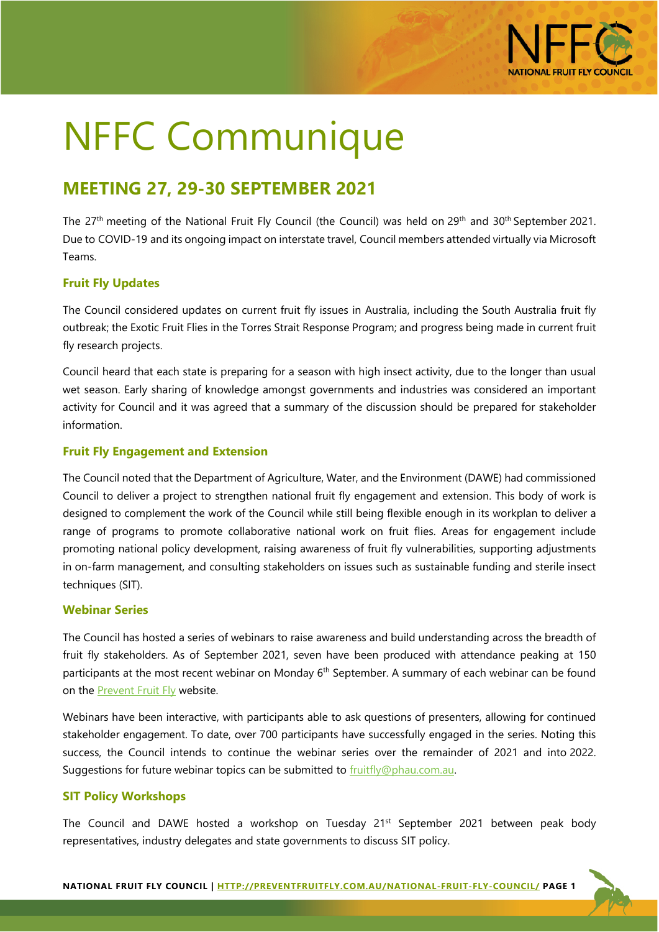

# NFFC Communique

# **MEETING 27, 29-30 SEPTEMBER 2021**

The 27<sup>th</sup> meeting of the National Fruit Fly Council (the Council) was held on 29<sup>th</sup> and 30<sup>th</sup> September 2021. Due to COVID-19 and its ongoing impact on interstate travel, Council members attended virtually via Microsoft Teams.

# **Fruit Fly Updates**

The Council considered updates on current fruit fly issues in Australia, including the South Australia fruit fly outbreak; the Exotic Fruit Flies in the Torres Strait Response Program; and progress being made in current fruit fly research projects.

Council heard that each state is preparing for a season with high insect activity, due to the longer than usual wet season. Early sharing of knowledge amongst governments and industries was considered an important activity for Council and it was agreed that a summary of the discussion should be prepared for stakeholder information.

# **Fruit Fly Engagement and Extension**

The Council noted that the Department of Agriculture, Water, and the Environment (DAWE) had commissioned Council to deliver a project to strengthen national fruit fly engagement and extension. This body of work is designed to complement the work of the Council while still being flexible enough in its workplan to deliver a range of programs to promote collaborative national work on fruit flies. Areas for engagement include promoting national policy development, raising awareness of fruit fly vulnerabilities, supporting adjustments in on-farm management, and consulting stakeholders on issues such as sustainable funding and sterile insect techniques (SIT).

# **Webinar Series**

The Council has hosted a series of webinars to raise awareness and build understanding across the breadth of fruit fly stakeholders. As of September 2021, seven have been produced with attendance peaking at 150 participants at the most recent webinar on Monday 6<sup>th</sup> September. A summary of each webinar can be found on the **Prevent Fruit Fly** website.

Webinars have been interactive, with participants able to ask questions of presenters, allowing for continued stakeholder engagement. To date, over 700 participants have successfully engaged in the series. Noting this success, the Council intends to continue the webinar series over the remainder of 2021 and into 2022. Suggestions for future webinar topics can be submitted to [fruitfly@phau.com.au.](mailto:fruitfly@phau.com.au)

# **SIT Policy Workshops**

The Council and DAWE hosted a workshop on Tuesday  $21^{st}$  September 2021 between peak body representatives, industry delegates and state governments to discuss SIT policy.